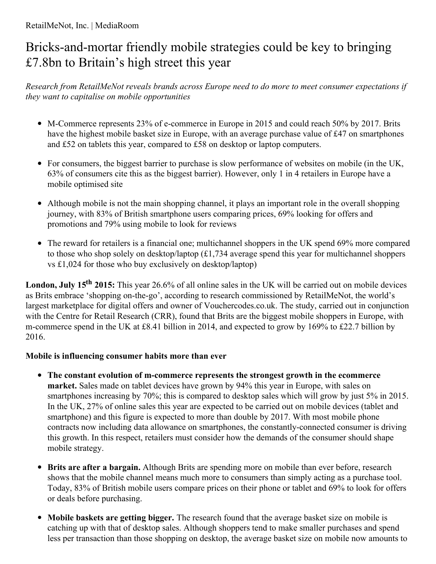# RetailMeNot, Inc. | MediaRoom

# Bricks-and-mortar friendly mobile strategies could be key to bringing £7.8bn to Britain's high street this year

*Research from RetailMeNot reveals brands across Europe need to do more to meet consumer expectations if they want to capitalise on mobile opportunities*

- M-Commerce represents 23% of e-commerce in Europe in 2015 and could reach 50% by 2017. Brits have the highest mobile basket size in Europe, with an average purchase value of £47 on smartphones and £52 on tablets this year, compared to £58 on desktop or laptop computers.
- For consumers, the biggest barrier to purchase is slow performance of websites on mobile (in the UK, 63% of consumers cite this as the biggest barrier). However, only 1 in 4 retailers in Europe have a mobile optimised site
- Although mobile is not the main shopping channel, it plays an important role in the overall shopping journey, with 83% of British smartphone users comparing prices, 69% looking for offers and promotions and 79% using mobile to look for reviews
- The reward for retailers is a financial one; multichannel shoppers in the UK spend 69% more compared to those who shop solely on desktop/laptop (£1,734 average spend this year for multichannel shoppers vs £1,024 for those who buy exclusively on desktop/laptop)

London, July 15<sup>th</sup> 2015: This year 26.6% of all online sales in the UK will be carried out on mobile devices as Brits embrace 'shopping on-the-go', according to research commissioned by RetailMeNot, the world's largest marketplace for digital offers and owner of Vouchercodes.co.uk. The study, carried out in conjunction with the Centre for Retail Research (CRR), found that Brits are the biggest mobile shoppers in Europe, with m-commerce spend in the UK at £8.41 billion in 2014, and expected to grow by 169% to £22.7 billion by 2016.

# **Mobile is influencing consumer habits more than ever**

- **The constant evolution of m-commerce represents the strongest growth in the ecommerce market.** Sales made on tablet devices have grown by 94% this year in Europe, with sales on smartphones increasing by 70%; this is compared to desktop sales which will grow by just 5% in 2015. In the UK, 27% of online sales this year are expected to be carried out on mobile devices (tablet and smartphone) and this figure is expected to more than double by 2017. With most mobile phone contracts now including data allowance on smartphones, the constantly-connected consumer is driving this growth. In this respect, retailers must consider how the demands of the consumer should shape mobile strategy.
- **Brits are after a bargain.** Although Brits are spending more on mobile than ever before, research shows that the mobile channel means much more to consumers than simply acting as a purchase tool. Today, 83% of British mobile users compare prices on their phone or tablet and 69% to look for offers or deals before purchasing.
- **Mobile baskets are getting bigger.** The research found that the average basket size on mobile is  $\bullet$ catching up with that of desktop sales. Although shoppers tend to make smaller purchases and spend less per transaction than those shopping on desktop, the average basket size on mobile now amounts to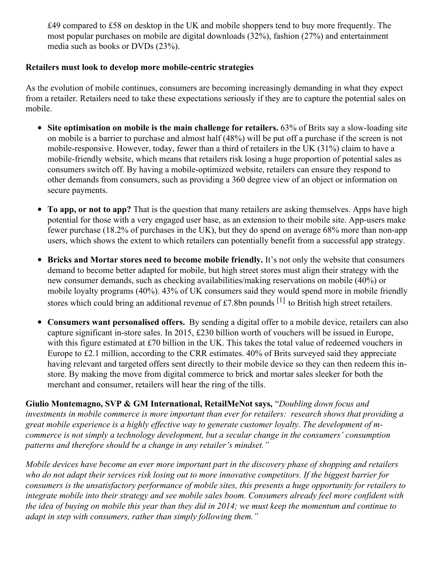£49 compared to £58 on desktop in the UK and mobile shoppers tend to buy more frequently. The most popular purchases on mobile are digital downloads (32%), fashion (27%) and entertainment media such as books or DVDs (23%).

### **Retailers must look to develop more mobile-centric strategies**

As the evolution of mobile continues, consumers are becoming increasingly demanding in what they expect from a retailer. Retailers need to take these expectations seriously if they are to capture the potential sales on mobile.

- **Site optimisation on mobile is the main challenge for retailers.** 63% of Brits say a slow-loading site on mobile is a barrier to purchase and almost half (48%) will be put off a purchase if the screen is not mobile-responsive. However, today, fewer than a third of retailers in the UK (31%) claim to have a mobile-friendly website, which means that retailers risk losing a huge proportion of potential sales as consumers switch off. By having a mobile-optimized website, retailers can ensure they respond to other demands from consumers, such as providing a 360 degree view of an object or information on secure payments.
- **To app, or not to app?** That is the question that many retailers are asking themselves. Apps have high  $\bullet$ potential for those with a very engaged user base, as an extension to their mobile site. App-users make fewer purchase (18.2% of purchases in the UK), but they do spend on average 68% more than non-app users, which shows the extent to which retailers can potentially benefit from a successful app strategy.
- **Bricks and Mortar stores need to become mobile friendly.** It's not only the website that consumers demand to become better adapted for mobile, but high street stores must align their strategy with the new consumer demands, such as checking availabilities/making reservations on mobile (40%) or mobile loyalty programs (40%). 43% of UK consumers said they would spend more in mobile friendly stores which could bring an additional revenue of £7.8bn pounds  $[1]$  to British high street retailers.
- **Consumers want personalised offers.** By sending a digital offer to a mobile device, retailers can also  $\bullet$ capture significant in-store sales. In 2015, £230 billion worth of vouchers will be issued in Europe, with this figure estimated at £70 billion in the UK. This takes the total value of redeemed vouchers in Europe to £2.1 million, according to the CRR estimates. 40% of Brits surveyed said they appreciate having relevant and targeted offers sent directly to their mobile device so they can then redeem this instore. By making the move from digital commerce to brick and mortar sales sleeker for both the merchant and consumer, retailers will hear the ring of the tills.

**Giulio Montemagno, SVP & GM International, RetailMeNot says,** "*Doubling down focus and investments in mobile commerce is more important than ever for retailers: research shows that providing a great mobile experience is a highly ef ective way to generate customer loyalty. The development of mcommerce is not simply a technology development, but a secular change in the consumers' consumption patterns and therefore should be a change in any retailer's mindset."*

*Mobile devices have become an ever more important part in the discovery phase of shopping and retailers* who do not adapt their services risk losing out to more innovative competitors. If the biggest barrier for *consumers is the unsatisfactory performance of mobile sites, this presents a huge opportunity for retailers to integrate mobile into their strategy and see mobile sales boom. Consumers already feel more confident with* the idea of buying on mobile this year than they did in 2014; we must keep the momentum and continue to *adapt in step with consumers, rather than simply following them."*